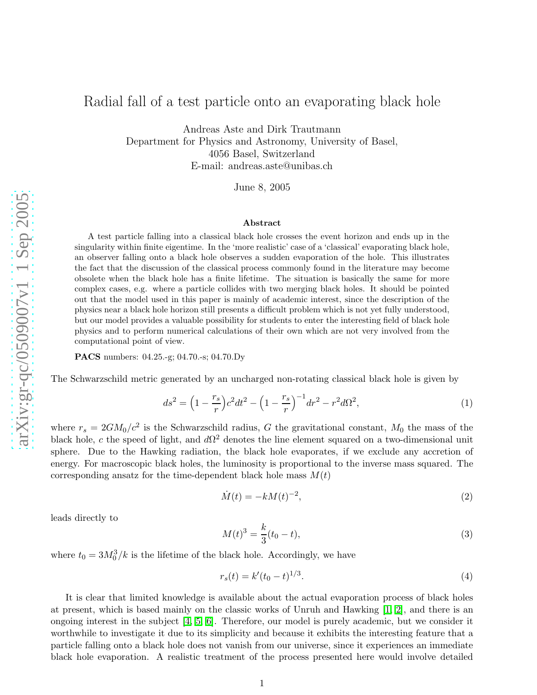## Radial fall of a test particle onto an evaporating black hole

Andreas Aste and Dirk Trautmann Department for Physics and Astronomy, University of Basel, 4056 Basel, Switzerland E-mail: andreas.aste@unibas.ch

June 8, 2005

## Abstract

A test particle falling into a classical black hole crosses the event horizon and ends up in the singularity within finite eigentime. In the 'more realistic' case of a 'classical' evaporating black hole, an observer falling onto a black hole observes a sudden evaporation of the hole. This illustrates the fact that the discussion of the classical process commonly found in the literature may become obsolete when the black hole has a finite lifetime. The situation is basically the same for more complex cases, e.g. where a particle collides with two merging black holes. It should be pointed out that the model used in this paper is mainly of academic interest, since the description of the physics near a black hole horizon still presents a difficult problem which is not yet fully understood, but our model provides a valuable possibility for students to enter the interesting field of black hole physics and to perform numerical calculations of their own which are not very involved from the computational point of view.

<span id="page-0-2"></span>PACS numbers: 04.25.-g; 04.70.-s; 04.70.Dy

The Schwarzschild metric generated by an uncharged non-rotating classical black hole is given by

$$
ds^{2} = \left(1 - \frac{r_{s}}{r}\right)c^{2}dt^{2} - \left(1 - \frac{r_{s}}{r}\right)^{-1}dr^{2} - r^{2}d\Omega^{2},\tag{1}
$$

where  $r_s = 2GM_0/c^2$  is the Schwarzschild radius, G the gravitational constant,  $M_0$  the mass of the black hole, c the speed of light, and  $d\Omega^2$  denotes the line element squared on a two-dimensional unit sphere. Due to the Hawking radiation, the black hole evaporates, if we exclude any accretion of energy. For macroscopic black holes, the luminosity is proportional to the inverse mass squared. The corresponding ansatz for the time-dependent black hole mass  $M(t)$ 

$$
\dot{M}(t) = -kM(t)^{-2},\tag{2}
$$

leads directly to

<span id="page-0-1"></span>
$$
M(t)^3 = \frac{k}{3}(t_0 - t),
$$
\n(3)

where  $t_0 = 3M_0^3/k$  is the lifetime of the black hole. Accordingly, we have

<span id="page-0-0"></span>
$$
r_s(t) = k'(t_0 - t)^{1/3}.
$$
\n(4)

It is clear that limited knowledge is available about the actual evaporation process of black holes at present, which is based mainly on the classic works of Unruh and Hawking [\[1,](#page-5-0) [2\]](#page-5-1), and there is an ongoing interest in the subject [\[4,](#page-5-2) [5,](#page-5-3) [6\]](#page-5-4). Therefore, our model is purely academic, but we consider it worthwhile to investigate it due to its simplicity and because it exhibits the interesting feature that a particle falling onto a black hole does not vanish from our universe, since it experiences an immediate black hole evaporation. A realistic treatment of the process presented here would involve detailed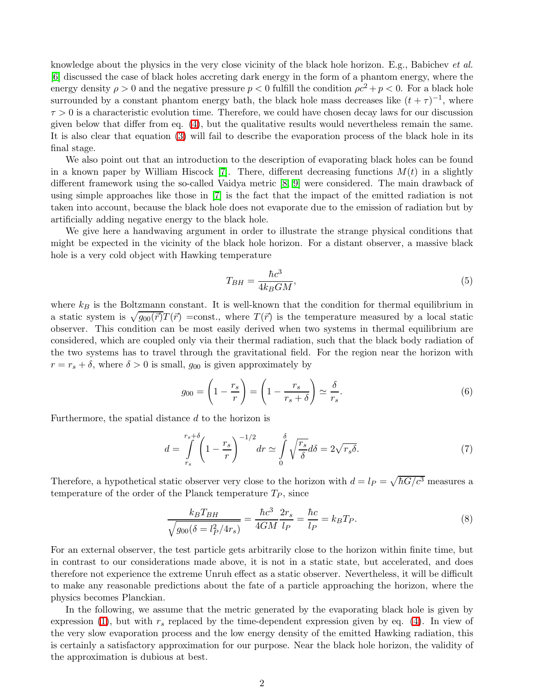knowledge about the physics in the very close vicinity of the black hole horizon. E.g., Babichev et al. [\[6\]](#page-5-4) discussed the case of black holes accreting dark energy in the form of a phantom energy, where the energy density  $\rho > 0$  and the negative pressure  $p < 0$  fulfill the condition  $\rho c^2 + p < 0$ . For a black hole surrounded by a constant phantom energy bath, the black hole mass decreases like  $(t + \tau)^{-1}$ , where  $\tau > 0$  is a characteristic evolution time. Therefore, we could have chosen decay laws for our discussion given below that differ from eq. [\(4\)](#page-0-0), but the qualitative results would nevertheless remain the same. It is also clear that equation [\(3\)](#page-0-1) will fail to describe the evaporation process of the black hole in its final stage.

We also point out that an introduction to the description of evaporating black holes can be found in a known paper by William Hiscock [\[7\]](#page-5-5). There, different decreasing functions  $M(t)$  in a slightly different framework using the so-called Vaidya metric [\[8,](#page-5-6) [9\]](#page-5-7) were considered. The main drawback of using simple approaches like those in [\[7\]](#page-5-5) is the fact that the impact of the emitted radiation is not taken into account, because the black hole does not evaporate due to the emission of radiation but by artificially adding negative energy to the black hole.

We give here a handwaving argument in order to illustrate the strange physical conditions that might be expected in the vicinity of the black hole horizon. For a distant observer, a massive black hole is a very cold object with Hawking temperature

$$
T_{BH} = \frac{\hbar c^3}{4k_B GM},\tag{5}
$$

where  $k_B$  is the Boltzmann constant. It is well-known that the condition for thermal equilibrium in a static system is  $\sqrt{g_{00}(\vec{r})T(\vec{r})}$  =const., where  $T(\vec{r})$  is the temperature measured by a local static observer. This condition can be most easily derived when two systems in thermal equilibrium are considered, which are coupled only via their thermal radiation, such that the black body radiation of the two systems has to travel through the gravitational field. For the region near the horizon with  $r = r_s + \delta$ , where  $\delta > 0$  is small,  $g_{00}$  is given approximately by

$$
g_{00} = \left(1 - \frac{r_s}{r}\right) = \left(1 - \frac{r_s}{r_s + \delta}\right) \simeq \frac{\delta}{r_s}.\tag{6}
$$

Furthermore, the spatial distance d to the horizon is

$$
d = \int_{r_s}^{r_s + \delta} \left(1 - \frac{r_s}{r}\right)^{-1/2} dr \simeq \int_0^{\delta} \sqrt{\frac{r_s}{\delta}} d\delta = 2\sqrt{r_s \delta}.
$$
 (7)

Therefore, a hypothetical static observer very close to the horizon with  $d = l_P = \sqrt{\hbar G/c^3}$  measures a temperature of the order of the Planck temperature  $T_P$ , since

$$
\frac{k_B T_{BH}}{\sqrt{g_{00}(\delta = l_P^2/4r_s)}} = \frac{\hbar c^3}{4GM} \frac{2r_s}{l_P} = \frac{\hbar c}{l_P} = k_B T_P.
$$
\n(8)

For an external observer, the test particle gets arbitrarily close to the horizon within finite time, but in contrast to our considerations made above, it is not in a static state, but accelerated, and does therefore not experience the extreme Unruh effect as a static observer. Nevertheless, it will be difficult to make any reasonable predictions about the fate of a particle approaching the horizon, where the physics becomes Planckian.

In the following, we assume that the metric generated by the evaporating black hole is given by expression [\(1\)](#page-0-2), but with  $r_s$  replaced by the time-dependent expression given by eq. [\(4\)](#page-0-0). In view of the very slow evaporation process and the low energy density of the emitted Hawking radiation, this is certainly a satisfactory approximation for our purpose. Near the black hole horizon, the validity of the approximation is dubious at best.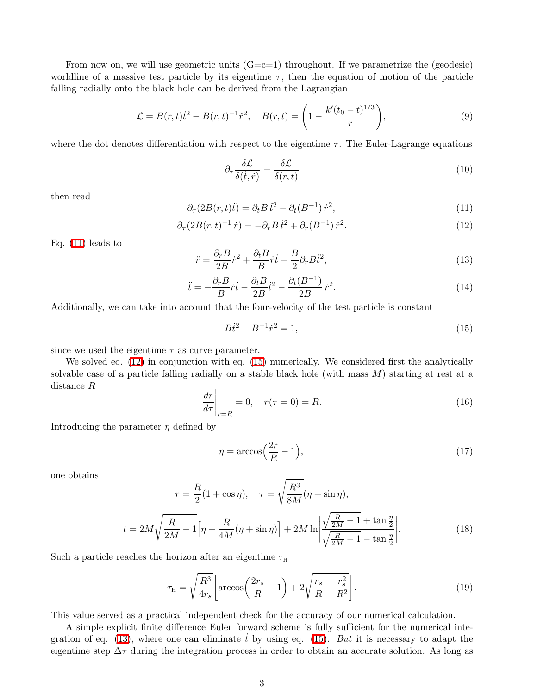From now on, we will use geometric units  $(G=c=1)$  throughout. If we parametrize the (geodesic) worldline of a massive test particle by its eigentime  $\tau$ , then the equation of motion of the particle falling radially onto the black hole can be derived from the Lagrangian

$$
\mathcal{L} = B(r, t)\dot{t}^2 - B(r, t)^{-1}\dot{r}^2, \quad B(r, t) = \left(1 - \frac{k'(t_0 - t)^{1/3}}{r}\right),\tag{9}
$$

where the dot denotes differentiation with respect to the eigentime  $\tau$ . The Euler-Lagrange equations

$$
\partial_{\tau} \frac{\delta \mathcal{L}}{\delta(\dot{t}, \dot{r})} = \frac{\delta \mathcal{L}}{\delta(r, t)}
$$
(10)

then read

$$
\partial_{\tau}(2B(r,t)\dot{t}) = \partial_t B \,\dot{t}^2 - \partial_t (B^{-1}) \,\dot{r}^2,\tag{11}
$$

<span id="page-2-3"></span><span id="page-2-1"></span><span id="page-2-0"></span>
$$
\partial_{\tau} (2B(r,t)^{-1} \dot{r}) = -\partial_r B \dot{t}^2 + \partial_r (B^{-1}) \dot{r}^2. \tag{12}
$$

Eq.  $(11)$  leads to

$$
\ddot{r} = \frac{\partial_r B}{2B} \dot{r}^2 + \frac{\partial_t B}{B} \dot{r} \dot{t} - \frac{B}{2} \partial_r B \dot{t}^2,\tag{13}
$$

<span id="page-2-2"></span>
$$
\ddot{t} = -\frac{\partial_r B}{B} \dot{r} \dot{t} - \frac{\partial_t B}{2B} \dot{t}^2 - \frac{\partial_t (B^{-1})}{2B} \dot{r}^2.
$$
\n(14)

Additionally, we can take into account that the four-velocity of the test particle is constant

$$
Bt^2 - B^{-1}\dot{r}^2 = 1,\t\t(15)
$$

since we used the eigentime  $\tau$  as curve parameter.

We solved eq. [\(12\)](#page-2-1) in conjunction with eq. [\(15\)](#page-2-2) numerically. We considered first the analytically solvable case of a particle falling radially on a stable black hole (with mass  $M$ ) starting at rest at a distance R

$$
\left. \frac{dr}{d\tau} \right|_{r=R} = 0, \quad r(\tau = 0) = R. \tag{16}
$$

Introducing the parameter  $\eta$  defined by

$$
\eta = \arccos\left(\frac{2r}{R} - 1\right),\tag{17}
$$

one obtains

$$
r = \frac{R}{2}(1 + \cos \eta), \quad \tau = \sqrt{\frac{R^3}{8M}}(\eta + \sin \eta),
$$

$$
t = 2M\sqrt{\frac{R}{2M} - 1} \Big[\eta + \frac{R}{4M}(\eta + \sin \eta)\Big] + 2M\ln\left|\frac{\sqrt{\frac{R}{2M} - 1} + \tan\frac{\eta}{2}}{\sqrt{\frac{R}{2M} - 1} - \tan\frac{\eta}{2}}\right|.
$$
(18)

<span id="page-2-4"></span>Such a particle reaches the horizon after an eigentime  $\tau_{\rm H}$ 

$$
\tau_{\rm H} = \sqrt{\frac{R^3}{4r_s}} \left[ \arccos\left(\frac{2r_s}{R} - 1\right) + 2\sqrt{\frac{r_s}{R} - \frac{r_s^2}{R^2}} \right].\tag{19}
$$

This value served as a practical independent check for the accuracy of our numerical calculation.

A simple explicit finite difference Euler forward scheme is fully sufficient for the numerical inte-gration of eq. [\(13\)](#page-2-3), where one can eliminate  $\dot{t}$  by using eq. [\(15\)](#page-2-2). But it is necessary to adapt the eigentime step  $\Delta \tau$  during the integration process in order to obtain an accurate solution. As long as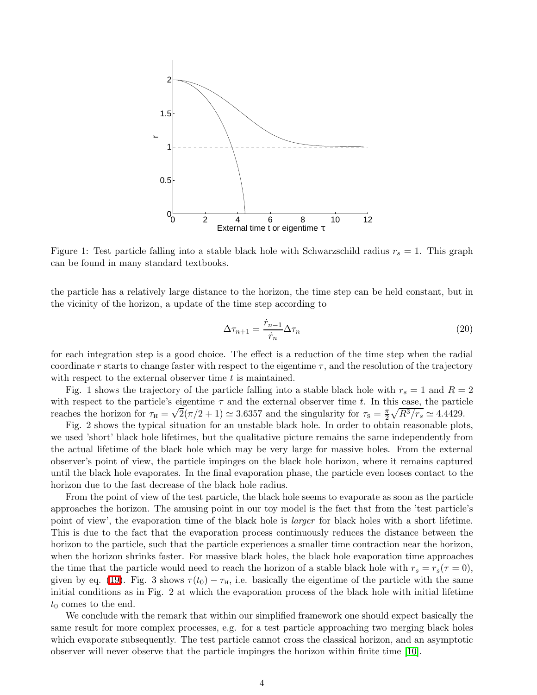

Figure 1: Test particle falling into a stable black hole with Schwarzschild radius  $r_s = 1$ . This graph can be found in many standard textbooks.

the particle has a relatively large distance to the horizon, the time step can be held constant, but in the vicinity of the horizon, a update of the time step according to

$$
\Delta \tau_{n+1} = \frac{\dot{r}_{n-1}}{\dot{r}_n} \Delta \tau_n \tag{20}
$$

for each integration step is a good choice. The effect is a reduction of the time step when the radial coordinate r starts to change faster with respect to the eigentime  $\tau$ , and the resolution of the trajectory with respect to the external observer time  $t$  is maintained.

Fig. 1 shows the trajectory of the particle falling into a stable black hole with  $r_s = 1$  and  $R = 2$ with respect to the particle's eigentime  $\tau$  and the external observer time t. In this case, the particle reaches the horizon for  $\tau_{\text{H}} = \sqrt{2}(\pi/2 + 1) \approx 3.6357$  and the singularity for  $\tau_{\text{s}} = \frac{\pi}{2} \sqrt{R^3/r_s} \approx 4.4429$ .

Fig. 2 shows the typical situation for an unstable black hole. In order to obtain reasonable plots, we used 'short' black hole lifetimes, but the qualitative picture remains the same independently from the actual lifetime of the black hole which may be very large for massive holes. From the external observer's point of view, the particle impinges on the black hole horizon, where it remains captured until the black hole evaporates. In the final evaporation phase, the particle even looses contact to the horizon due to the fast decrease of the black hole radius.

From the point of view of the test particle, the black hole seems to evaporate as soon as the particle approaches the horizon. The amusing point in our toy model is the fact that from the 'test particle's point of view', the evaporation time of the black hole is *larger* for black holes with a short lifetime. This is due to the fact that the evaporation process continuously reduces the distance between the horizon to the particle, such that the particle experiences a smaller time contraction near the horizon, when the horizon shrinks faster. For massive black holes, the black hole evaporation time approaches the time that the particle would need to reach the horizon of a stable black hole with  $r_s = r_s(\tau = 0)$ , given by eq. [\(19\)](#page-2-4). Fig. 3 shows  $\tau(t_0) - \tau_H$ , i.e. basically the eigentime of the particle with the same initial conditions as in Fig. 2 at which the evaporation process of the black hole with initial lifetime  $t_0$  comes to the end.

We conclude with the remark that within our simplified framework one should expect basically the same result for more complex processes, e.g. for a test particle approaching two merging black holes which evaporate subsequently. The test particle cannot cross the classical horizon, and an asymptotic observer will never observe that the particle impinges the horizon within finite time [\[10\]](#page-5-8).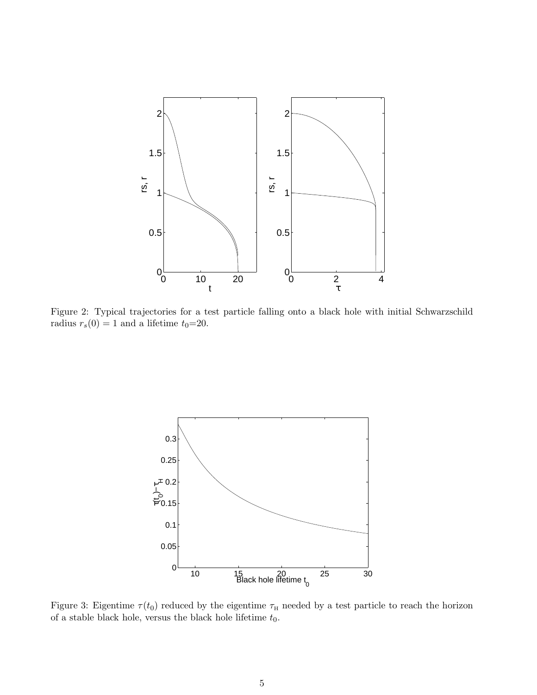

Figure 2: Typical trajectories for a test particle falling onto a black hole with initial Schwarzschild radius  $r_s(0) = 1$  and a lifetime  $t_0=20$ .



Figure 3: Eigentime  $\tau(t_0)$  reduced by the eigentime  $\tau_H$  needed by a test particle to reach the horizon of a stable black hole, versus the black hole lifetime  $t_0$ .